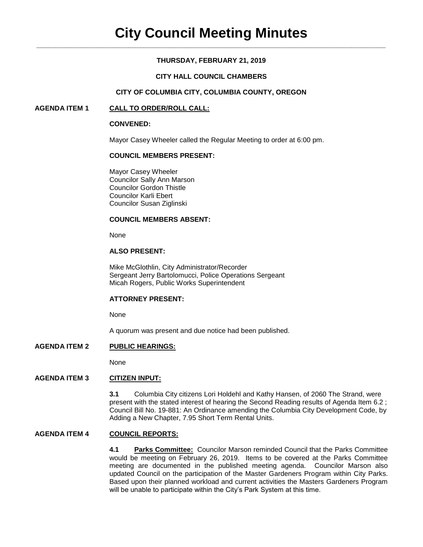# **THURSDAY, FEBRUARY 21, 2019**

### **CITY HALL COUNCIL CHAMBERS**

### **CITY OF COLUMBIA CITY, COLUMBIA COUNTY, OREGON**

### **AGENDA ITEM 1 CALL TO ORDER/ROLL CALL:**

#### **CONVENED:**

Mayor Casey Wheeler called the Regular Meeting to order at 6:00 pm.

### **COUNCIL MEMBERS PRESENT:**

Mayor Casey Wheeler Councilor Sally Ann Marson Councilor Gordon Thistle Councilor Karli Ebert Councilor Susan Ziglinski

### **COUNCIL MEMBERS ABSENT:**

None

# **ALSO PRESENT:**

Mike McGlothlin, City Administrator/Recorder Sergeant Jerry Bartolomucci, Police Operations Sergeant Micah Rogers, Public Works Superintendent

#### **ATTORNEY PRESENT:**

None

A quorum was present and due notice had been published.

### **AGENDA ITEM 2 PUBLIC HEARINGS:**

None

# **AGENDA ITEM 3 CITIZEN INPUT:**

**3.1** Columbia City citizens Lori Holdehl and Kathy Hansen, of 2060 The Strand, were present with the stated interest of hearing the Second Reading results of Agenda Item 6.2 ; Council Bill No. 19-881: An Ordinance amending the Columbia City Development Code, by Adding a New Chapter, 7.95 Short Term Rental Units.

# **AGENDA ITEM 4 COUNCIL REPORTS:**

**4.1 Parks Committee:** Councilor Marson reminded Council that the Parks Committee would be meeting on February 26, 2019. Items to be covered at the Parks Committee meeting are documented in the published meeting agenda. Councilor Marson also updated Council on the participation of the Master Gardeners Program within City Parks. Based upon their planned workload and current activities the Masters Gardeners Program will be unable to participate within the City's Park System at this time.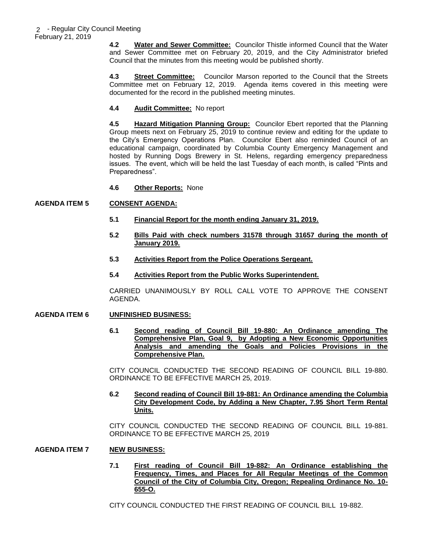**4.2 Water and Sewer Committee:** Councilor Thistle informed Council that the Water and Sewer Committee met on February 20, 2019, and the City Administrator briefed Council that the minutes from this meeting would be published shortly.

**4.3 Street Committee:** Councilor Marson reported to the Council that the Streets Committee met on February 12, 2019. Agenda items covered in this meeting were documented for the record in the published meeting minutes.

# **4.4 Audit Committee:** No report

**4.5 Hazard Mitigation Planning Group:** Councilor Ebert reported that the Planning Group meets next on February 25, 2019 to continue review and editing for the update to the City's Emergency Operations Plan. Councilor Ebert also reminded Council of an educational campaign, coordinated by Columbia County Emergency Management and hosted by Running Dogs Brewery in St. Helens, regarding emergency preparedness issues. The event, which will be held the last Tuesday of each month, is called "Pints and Preparedness".

**4.6 Other Reports:** None

# **AGENDA ITEM 5 CONSENT AGENDA:**

- **5.1 Financial Report for the month ending January 31, 2019.**
- **5.2 Bills Paid with check numbers 31578 through 31657 during the month of January 2019.**
- **5.3 Activities Report from the Police Operations Sergeant.**
- **5.4 Activities Report from the Public Works Superintendent.**

CARRIED UNANIMOUSLY BY ROLL CALL VOTE TO APPROVE THE CONSENT AGENDA.

### **AGENDA ITEM 6 UNFINISHED BUSINESS:**

**6.1 Second reading of Council Bill 19-880: An Ordinance amending The Comprehensive Plan, Goal 9, by Adopting a New Economic Opportunities Analysis and amending the Goals and Policies Provisions in the Comprehensive Plan.**

CITY COUNCIL CONDUCTED THE SECOND READING OF COUNCIL BILL 19-880. ORDINANCE TO BE EFFECTIVE MARCH 25, 2019.

**6.2 Second reading of Council Bill 19-881: An Ordinance amending the Columbia City Development Code, by Adding a New Chapter, 7.95 Short Term Rental Units.**

CITY COUNCIL CONDUCTED THE SECOND READING OF COUNCIL BILL 19-881. ORDINANCE TO BE EFFECTIVE MARCH 25, 2019

# **AGENDA ITEM 7 NEW BUSINESS:**

**7.1 First reading of Council Bill 19-882: An Ordinance establishing the Frequency, Times, and Places for All Regular Meetings of the Common Council of the City of Columbia City, Oregon; Repealing Ordinance No. 10- 655-O.**

CITY COUNCIL CONDUCTED THE FIRST READING OF COUNCIL BILL 19-882.